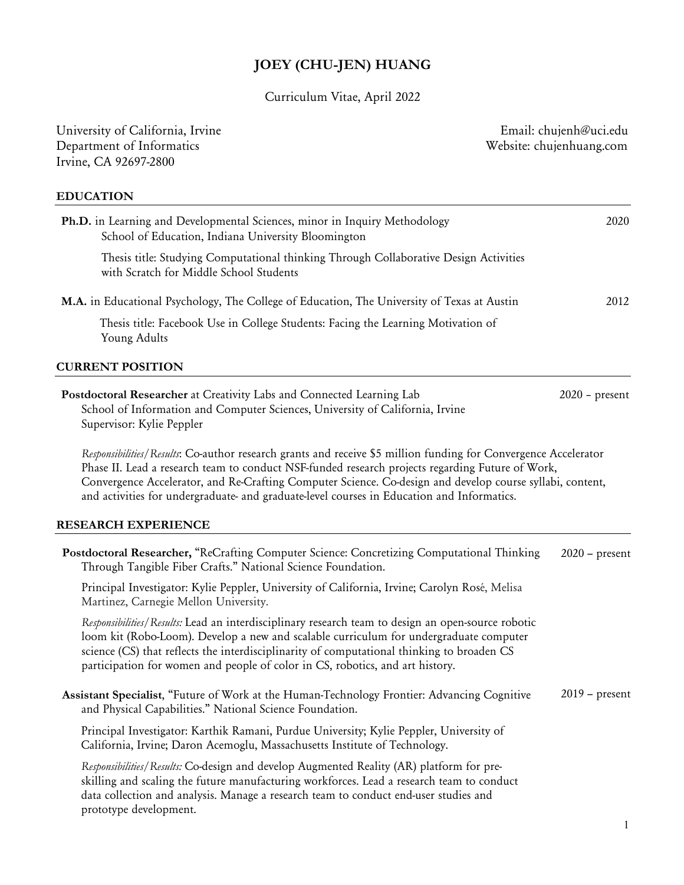# **JOEY (CHU-JEN) HUANG**

Curriculum Vitae, April 2022

| University of California, Irvine<br>Department of Informatics<br>Irvine, CA 92697-2800                                                                                                                                                                                                                                                                                                                                         | Email: chujenh@uci.edu<br>Website: chujenhuang.com |
|--------------------------------------------------------------------------------------------------------------------------------------------------------------------------------------------------------------------------------------------------------------------------------------------------------------------------------------------------------------------------------------------------------------------------------|----------------------------------------------------|
| <b>EDUCATION</b>                                                                                                                                                                                                                                                                                                                                                                                                               |                                                    |
| Ph.D. in Learning and Developmental Sciences, minor in Inquiry Methodology<br>School of Education, Indiana University Bloomington                                                                                                                                                                                                                                                                                              | 2020                                               |
| Thesis title: Studying Computational thinking Through Collaborative Design Activities<br>with Scratch for Middle School Students                                                                                                                                                                                                                                                                                               |                                                    |
| M.A. in Educational Psychology, The College of Education, The University of Texas at Austin                                                                                                                                                                                                                                                                                                                                    | 2012                                               |
| Thesis title: Facebook Use in College Students: Facing the Learning Motivation of<br>Young Adults                                                                                                                                                                                                                                                                                                                              |                                                    |
| <b>CURRENT POSITION</b>                                                                                                                                                                                                                                                                                                                                                                                                        |                                                    |
| Postdoctoral Researcher at Creativity Labs and Connected Learning Lab<br>School of Information and Computer Sciences, University of California, Irvine<br>Supervisor: Kylie Peppler                                                                                                                                                                                                                                            | $2020$ – present                                   |
| Responsibilities/Results: Co-author research grants and receive \$5 million funding for Convergence Accelerator<br>Phase II. Lead a research team to conduct NSF-funded research projects regarding Future of Work,<br>Convergence Accelerator, and Re-Crafting Computer Science. Co-design and develop course syllabi, content,<br>and activities for undergraduate- and graduate-level courses in Education and Informatics. |                                                    |
| <b>RESEARCH EXPERIENCE</b>                                                                                                                                                                                                                                                                                                                                                                                                     |                                                    |
| Postdoctoral Researcher, "ReCrafting Computer Science: Concretizing Computational Thinking<br>Through Tangible Fiber Crafts." National Science Foundation.                                                                                                                                                                                                                                                                     | $2020$ – present                                   |
| Principal Investigator: Kylie Peppler, University of California, Irvine; Carolyn Rosé, Melisa<br>Martinez, Carnegie Mellon University.                                                                                                                                                                                                                                                                                         |                                                    |
| Responsibilities/Results: Lead an interdisciplinary research team to design an open-source robotic<br>loom kit (Robo-Loom). Develop a new and scalable curriculum for undergraduate computer<br>science (CS) that reflects the interdisciplinarity of computational thinking to broaden CS<br>participation for women and people of color in CS, robotics, and art history.                                                    |                                                    |
| Assistant Specialist, "Future of Work at the Human-Technology Frontier: Advancing Cognitive<br>and Physical Capabilities." National Science Foundation.                                                                                                                                                                                                                                                                        | $2019$ – present                                   |
| Principal Investigator: Karthik Ramani, Purdue University; Kylie Peppler, University of<br>California, Irvine; Daron Acemoglu, Massachusetts Institute of Technology.                                                                                                                                                                                                                                                          |                                                    |
| Responsibilities/Results: Co-design and develop Augmented Reality (AR) platform for pre-<br>skilling and scaling the future manufacturing workforces. Lead a research team to conduct<br>data collection and analysis. Manage a research team to conduct end-user studies and<br>prototype development.                                                                                                                        |                                                    |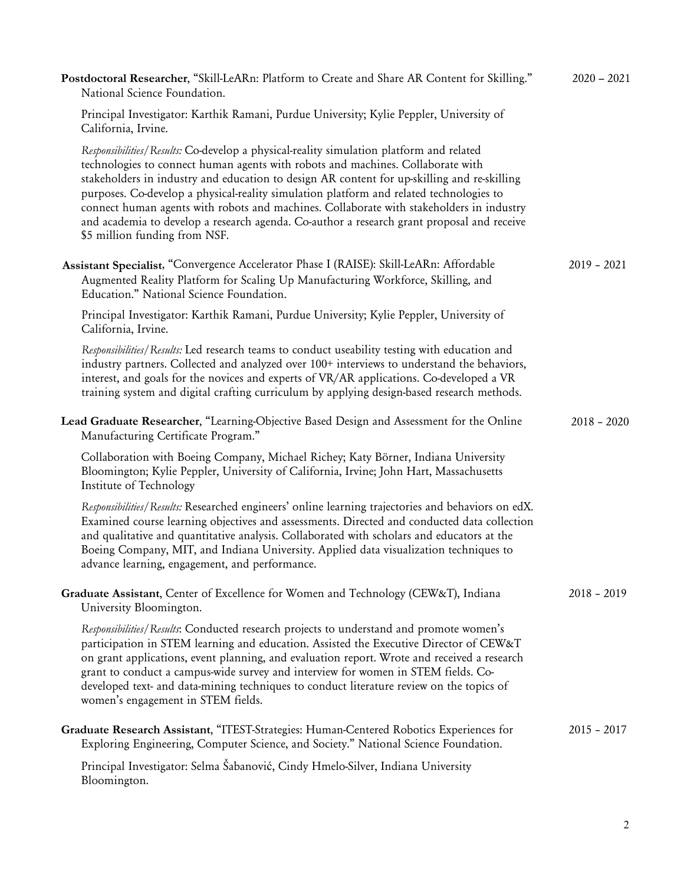| Postdoctoral Researcher, "Skill-LeARn: Platform to Create and Share AR Content for Skilling."<br>National Science Foundation.                                                                                                                                                                                                                                                                                                                                                                                                                                                                   | $2020 - 2021$ |
|-------------------------------------------------------------------------------------------------------------------------------------------------------------------------------------------------------------------------------------------------------------------------------------------------------------------------------------------------------------------------------------------------------------------------------------------------------------------------------------------------------------------------------------------------------------------------------------------------|---------------|
| Principal Investigator: Karthik Ramani, Purdue University; Kylie Peppler, University of<br>California, Irvine.                                                                                                                                                                                                                                                                                                                                                                                                                                                                                  |               |
| Responsibilities/Results: Co-develop a physical-reality simulation platform and related<br>technologies to connect human agents with robots and machines. Collaborate with<br>stakeholders in industry and education to design AR content for up-skilling and re-skilling<br>purposes. Co-develop a physical-reality simulation platform and related technologies to<br>connect human agents with robots and machines. Collaborate with stakeholders in industry<br>and academia to develop a research agenda. Co-author a research grant proposal and receive<br>\$5 million funding from NSF. |               |
| Assistant Specialist, "Convergence Accelerator Phase I (RAISE): Skill-LeARn: Affordable<br>Augmented Reality Platform for Scaling Up Manufacturing Workforce, Skilling, and<br>Education." National Science Foundation.                                                                                                                                                                                                                                                                                                                                                                         | $2019 - 2021$ |
| Principal Investigator: Karthik Ramani, Purdue University; Kylie Peppler, University of<br>California, Irvine.                                                                                                                                                                                                                                                                                                                                                                                                                                                                                  |               |
| Responsibilities/Results: Led research teams to conduct useability testing with education and<br>industry partners. Collected and analyzed over 100+ interviews to understand the behaviors,<br>interest, and goals for the novices and experts of VR/AR applications. Co-developed a VR<br>training system and digital crafting curriculum by applying design-based research methods.                                                                                                                                                                                                          |               |
| Lead Graduate Researcher, "Learning-Objective Based Design and Assessment for the Online<br>Manufacturing Certificate Program."                                                                                                                                                                                                                                                                                                                                                                                                                                                                 | $2018 - 2020$ |
| Collaboration with Boeing Company, Michael Richey; Katy Börner, Indiana University<br>Bloomington; Kylie Peppler, University of California, Irvine; John Hart, Massachusetts<br>Institute of Technology                                                                                                                                                                                                                                                                                                                                                                                         |               |
| Responsibilities/Results: Researched engineers' online learning trajectories and behaviors on edX.<br>Examined course learning objectives and assessments. Directed and conducted data collection<br>and qualitative and quantitative analysis. Collaborated with scholars and educators at the<br>Boeing Company, MIT, and Indiana University. Applied data visualization techniques to<br>advance learning, engagement, and performance.                                                                                                                                                      |               |
| Graduate Assistant, Center of Excellence for Women and Technology (CEW&T), Indiana<br>University Bloomington.                                                                                                                                                                                                                                                                                                                                                                                                                                                                                   | $2018 - 2019$ |
| Responsibilities/Results: Conducted research projects to understand and promote women's<br>participation in STEM learning and education. Assisted the Executive Director of CEW&T<br>on grant applications, event planning, and evaluation report. Wrote and received a research<br>grant to conduct a campus-wide survey and interview for women in STEM fields. Co-<br>developed text- and data-mining techniques to conduct literature review on the topics of<br>women's engagement in STEM fields.                                                                                         |               |
| Graduate Research Assistant, "ITEST-Strategies: Human-Centered Robotics Experiences for<br>Exploring Engineering, Computer Science, and Society." National Science Foundation.                                                                                                                                                                                                                                                                                                                                                                                                                  | $2015 - 2017$ |
| Principal Investigator: Selma Šabanović, Cindy Hmelo-Silver, Indiana University<br>Bloomington.                                                                                                                                                                                                                                                                                                                                                                                                                                                                                                 |               |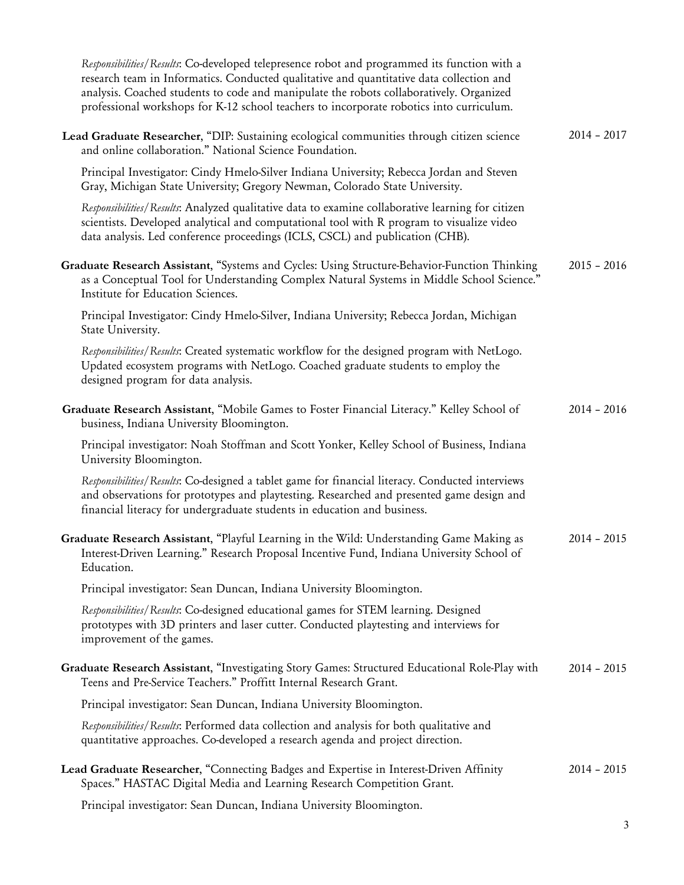| Responsibilities/Results: Co-developed telepresence robot and programmed its function with a<br>research team in Informatics. Conducted qualitative and quantitative data collection and<br>analysis. Coached students to code and manipulate the robots collaboratively. Organized<br>professional workshops for K-12 school teachers to incorporate robotics into curriculum. |               |
|---------------------------------------------------------------------------------------------------------------------------------------------------------------------------------------------------------------------------------------------------------------------------------------------------------------------------------------------------------------------------------|---------------|
| Lead Graduate Researcher, "DIP: Sustaining ecological communities through citizen science<br>and online collaboration." National Science Foundation.                                                                                                                                                                                                                            | $2014 - 2017$ |
| Principal Investigator: Cindy Hmelo-Silver Indiana University; Rebecca Jordan and Steven<br>Gray, Michigan State University; Gregory Newman, Colorado State University.                                                                                                                                                                                                         |               |
| Responsibilities/Results: Analyzed qualitative data to examine collaborative learning for citizen<br>scientists. Developed analytical and computational tool with R program to visualize video<br>data analysis. Led conference proceedings (ICLS, CSCL) and publication (CHB).                                                                                                 |               |
| Graduate Research Assistant, "Systems and Cycles: Using Structure-Behavior-Function Thinking<br>as a Conceptual Tool for Understanding Complex Natural Systems in Middle School Science."<br>Institute for Education Sciences.                                                                                                                                                  | $2015 - 2016$ |
| Principal Investigator: Cindy Hmelo-Silver, Indiana University; Rebecca Jordan, Michigan<br>State University.                                                                                                                                                                                                                                                                   |               |
| Responsibilities/Results: Created systematic workflow for the designed program with NetLogo.<br>Updated ecosystem programs with NetLogo. Coached graduate students to employ the<br>designed program for data analysis.                                                                                                                                                         |               |
| Graduate Research Assistant, "Mobile Games to Foster Financial Literacy." Kelley School of<br>business, Indiana University Bloomington.                                                                                                                                                                                                                                         | $2014 - 2016$ |
| Principal investigator: Noah Stoffman and Scott Yonker, Kelley School of Business, Indiana<br>University Bloomington.                                                                                                                                                                                                                                                           |               |
| Responsibilities/Results: Co-designed a tablet game for financial literacy. Conducted interviews<br>and observations for prototypes and playtesting. Researched and presented game design and<br>financial literacy for undergraduate students in education and business.                                                                                                       |               |
| Graduate Research Assistant, "Playful Learning in the Wild: Understanding Game Making as<br>Interest-Driven Learning." Research Proposal Incentive Fund, Indiana University School of<br>Education.                                                                                                                                                                             | $2014 - 2015$ |
| Principal investigator: Sean Duncan, Indiana University Bloomington.                                                                                                                                                                                                                                                                                                            |               |
| Responsibilities/Results: Co-designed educational games for STEM learning. Designed<br>prototypes with 3D printers and laser cutter. Conducted playtesting and interviews for<br>improvement of the games.                                                                                                                                                                      |               |
| Graduate Research Assistant, "Investigating Story Games: Structured Educational Role-Play with<br>Teens and Pre-Service Teachers." Proffitt Internal Research Grant.                                                                                                                                                                                                            | $2014 - 2015$ |
| Principal investigator: Sean Duncan, Indiana University Bloomington.                                                                                                                                                                                                                                                                                                            |               |
| Responsibilities/Results: Performed data collection and analysis for both qualitative and<br>quantitative approaches. Co-developed a research agenda and project direction.                                                                                                                                                                                                     |               |
| Lead Graduate Researcher, "Connecting Badges and Expertise in Interest-Driven Affinity<br>Spaces." HASTAC Digital Media and Learning Research Competition Grant.                                                                                                                                                                                                                | $2014 - 2015$ |
| Principal investigator: Sean Duncan, Indiana University Bloomington.                                                                                                                                                                                                                                                                                                            |               |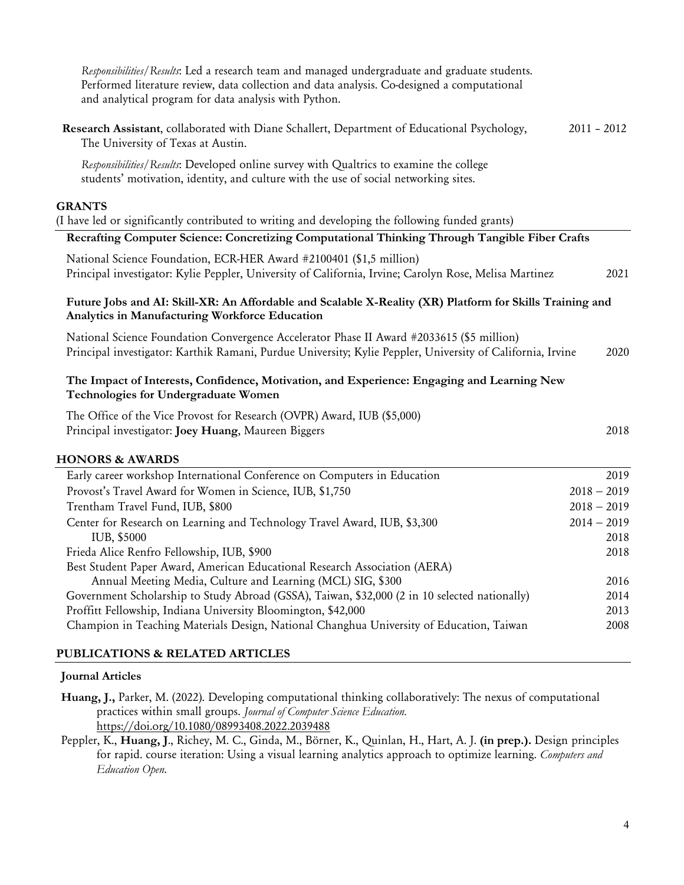| Responsibilities/Results: Led a research team and managed undergraduate and graduate students.<br>Performed literature review, data collection and data analysis. Co-designed a computational<br>and analytical program for data analysis with Python. |               |                       |
|--------------------------------------------------------------------------------------------------------------------------------------------------------------------------------------------------------------------------------------------------------|---------------|-----------------------|
| Research Assistant, collaborated with Diane Schallert, Department of Educational Psychology,<br>The University of Texas at Austin.                                                                                                                     | $2011 - 2012$ |                       |
| Responsibilities/Results: Developed online survey with Qualtrics to examine the college<br>students' motivation, identity, and culture with the use of social networking sites.                                                                        |               |                       |
| <b>GRANTS</b>                                                                                                                                                                                                                                          |               |                       |
| (I have led or significantly contributed to writing and developing the following funded grants)                                                                                                                                                        |               |                       |
| Recrafting Computer Science: Concretizing Computational Thinking Through Tangible Fiber Crafts                                                                                                                                                         |               |                       |
| National Science Foundation, ECR-HER Award #2100401 (\$1,5 million)                                                                                                                                                                                    |               |                       |
| Principal investigator: Kylie Peppler, University of California, Irvine; Carolyn Rose, Melisa Martinez                                                                                                                                                 |               | 2021                  |
| Future Jobs and AI: Skill-XR: An Affordable and Scalable X-Reality (XR) Platform for Skills Training and<br>Analytics in Manufacturing Workforce Education                                                                                             |               |                       |
| National Science Foundation Convergence Accelerator Phase II Award #2033615 (\$5 million)<br>Principal investigator: Karthik Ramani, Purdue University; Kylie Peppler, University of California, Irvine                                                |               | 2020                  |
| The Impact of Interests, Confidence, Motivation, and Experience: Engaging and Learning New<br>Technologies for Undergraduate Women                                                                                                                     |               |                       |
| The Office of the Vice Provost for Research (OVPR) Award, IUB (\$5,000)                                                                                                                                                                                |               |                       |
| Principal investigator: Joey Huang, Maureen Biggers                                                                                                                                                                                                    |               | 2018                  |
| <b>HONORS &amp; AWARDS</b>                                                                                                                                                                                                                             |               |                       |
| Early career workshop International Conference on Computers in Education                                                                                                                                                                               |               | 2019                  |
| Provost's Travel Award for Women in Science, IUB, \$1,750                                                                                                                                                                                              |               | $2018 - 2019$         |
| Trentham Travel Fund, IUB, \$800                                                                                                                                                                                                                       |               | $2018 - 2019$         |
| Center for Research on Learning and Technology Travel Award, IUB, \$3,300<br>IUB, \$5000                                                                                                                                                               |               | $2014 - 2019$<br>2018 |
| Frieda Alice Renfro Fellowship, IUB, \$900                                                                                                                                                                                                             |               | 2018                  |
| Best Student Paper Award, American Educational Research Association (AERA)                                                                                                                                                                             |               |                       |
| Annual Meeting Media, Culture and Learning (MCL) SIG, \$300                                                                                                                                                                                            |               | 2016                  |
| Government Scholarship to Study Abroad (GSSA), Taiwan, \$32,000 (2 in 10 selected nationally)                                                                                                                                                          |               | 2014                  |
| Proffitt Fellowship, Indiana University Bloomington, \$42,000                                                                                                                                                                                          |               | 2013<br>2008          |
| Champion in Teaching Materials Design, National Changhua University of Education, Taiwan                                                                                                                                                               |               |                       |
| PUBLICATIONS & RELATED ARTICLES                                                                                                                                                                                                                        |               |                       |

#### **Journal Articles**

- **Huang, J.,** Parker, M. (2022). Developing computational thinking collaboratively: The nexus of computational practices within small groups. *Journal of Computer Science Education.* https://doi.org/10.1080/08993408.2022.2039488
- Peppler, K., **Huang, J**., Richey, M. C., Ginda, M., Börner, K., Quinlan, H., Hart, A. J. **(in prep.).** Design principles for rapid. course iteration: Using a visual learning analytics approach to optimize learning. *Computers and Education Open*.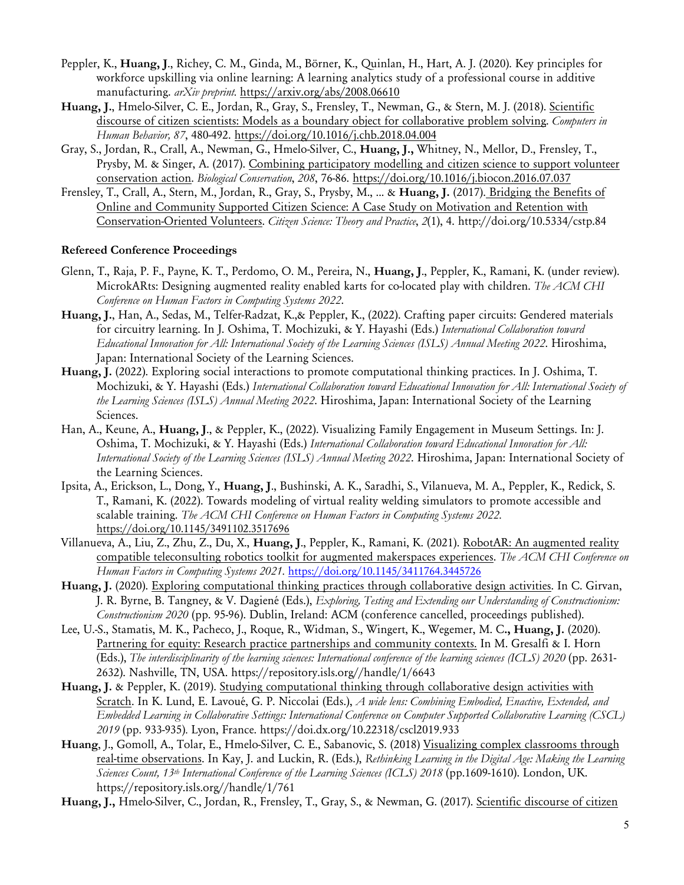- Peppler, K., **Huang, J**., Richey, C. M., Ginda, M., Börner, K., Quinlan, H., Hart, A. J. (2020). Key principles for workforce upskilling via online learning: A learning analytics study of a professional course in additive manufacturing. *arXiv preprint.* https://arxiv.org/abs/2008.06610
- **Huang, J.**, Hmelo-Silver, C. E., Jordan, R., Gray, S., Frensley, T., Newman, G., & Stern, M. J. (2018). Scientific discourse of citizen scientists: Models as a boundary object for collaborative problem solving. *Computers in Human Behavior, 87*, 480-492. https://doi.org/10.1016/j.chb.2018.04.004
- Gray, S., Jordan, R., Crall, A., Newman, G., Hmelo-Silver, C., **Huang, J.,** Whitney, N., Mellor, D., Frensley, T., Prysby, M. & Singer, A. (2017). Combining participatory modelling and citizen science to support volunteer conservation action. *Biological Conservation*, *208*, 76-86. https://doi.org/10.1016/j.biocon.2016.07.037
- Frensley, T., Crall, A., Stern, M., Jordan, R., Gray, S., Prysby, M., ... & **Huang, J.** (2017). Bridging the Benefits of Online and Community Supported Citizen Science: A Case Study on Motivation and Retention with Conservation-Oriented Volunteers. *Citizen Science: Theory and Practice*, *2*(1), 4. http://doi.org/10.5334/cstp.84

## **Refereed Conference Proceedings**

- Glenn, T., Raja, P. F., Payne, K. T., Perdomo, O. M., Pereira, N., **Huang, J**., Peppler, K., Ramani, K. (under review). MicrokARts: Designing augmented reality enabled karts for co-located play with children. *The ACM CHI Conference on Human Factors in Computing Systems 2022*.
- **Huang, J.**, Han, A., Sedas, M., Telfer-Radzat, K.,& Peppler, K., (2022). Crafting paper circuits: Gendered materials for circuitry learning. In J. Oshima, T. Mochizuki, & Y. Hayashi (Eds.) *International Collaboration toward Educational Innovation for All: International Society of the Learning Sciences (ISLS) Annual Meeting 2022*. Hiroshima, Japan: International Society of the Learning Sciences.
- **Huang, J.** (2022). Exploring social interactions to promote computational thinking practices. In J. Oshima, T. Mochizuki, & Y. Hayashi (Eds.) *International Collaboration toward Educational Innovation for All: International Society of the Learning Sciences (ISLS) Annual Meeting 2022*. Hiroshima, Japan: International Society of the Learning Sciences.
- Han, A., Keune, A., **Huang, J**., & Peppler, K., (2022). Visualizing Family Engagement in Museum Settings. In: J. Oshima, T. Mochizuki, & Y. Hayashi (Eds.) *International Collaboration toward Educational Innovation for All: International Society of the Learning Sciences (ISLS) Annual Meeting 2022*. Hiroshima, Japan: International Society of the Learning Sciences.
- Ipsita, A., Erickson, L., Dong, Y., **Huang, J**., Bushinski, A. K., Saradhi, S., Vilanueva, M. A., Peppler, K., Redick, S. T., Ramani, K. (2022). Towards modeling of virtual reality welding simulators to promote accessible and scalable training. *The ACM CHI Conference on Human Factors in Computing Systems 2022.* https://doi.org/10.1145/3491102.3517696
- Villanueva, A., Liu, Z., Zhu, Z., Du, X., **Huang, J**., Peppler, K., Ramani, K. (2021). RobotAR: An augmented reality compatible teleconsulting robotics toolkit for augmented makerspaces experiences. *The ACM CHI Conference on Human Factors in Computing Systems 2021.* https://doi.org/10.1145/3411764.3445726
- **Huang, J.** (2020). Exploring computational thinking practices through collaborative design activities. In C. Girvan, J. R. Byrne, B. Tangney, & V. Dagiené (Eds.), *Exploring, Testing and Extending our Understanding of Constructionism: Constructionism 2020* (pp. 95-96). Dublin, Ireland: ACM (conference cancelled, proceedings published).
- Lee, U.-S., Stamatis, M. K., Pacheco, J., Roque, R., Widman, S., Wingert, K., Wegemer, M. C**., Huang, J.** (2020). Partnering for equity: Research practice partnerships and community contexts. In M. Gresalfi & I. Horn (Eds.), *The interdisciplinarity of the learning sciences: International conference of the learning sciences (ICLS) 2020* (pp. 2631- 2632). Nashville, TN, USA. https://repository.isls.org//handle/1/6643
- **Huang, J.** & Peppler, K. (2019). Studying computational thinking through collaborative design activities with Scratch. In K. Lund, E. Lavoué, G. P. Niccolai (Eds.), *A wide lens: Combining Embodied, Enactive, Extended, and Embedded Learning in Collaborative Settings: International Conference on Computer Supported Collaborative Learning (CSCL) 2019* (pp. 933-935)*.* Lyon, France. https://doi.dx.org/10.22318/cscl2019.933
- **Huang**, J., Gomoll, A., Tolar, E., Hmelo-Silver, C. E., Sabanovic, S. (2018) Visualizing complex classrooms through real-time observations. In Kay, J. and Luckin, R. (Eds.), *Rethinking Learning in the Digital Age: Making the Learning Sciences Count, 13th International Conference of the Learning Sciences (ICLS) 2018* (pp.1609-1610). London, UK. https://repository.isls.org//handle/1/761
- **Huang, J.,** Hmelo-Silver, C., Jordan, R., Frensley, T., Gray, S., & Newman, G. (2017). Scientific discourse of citizen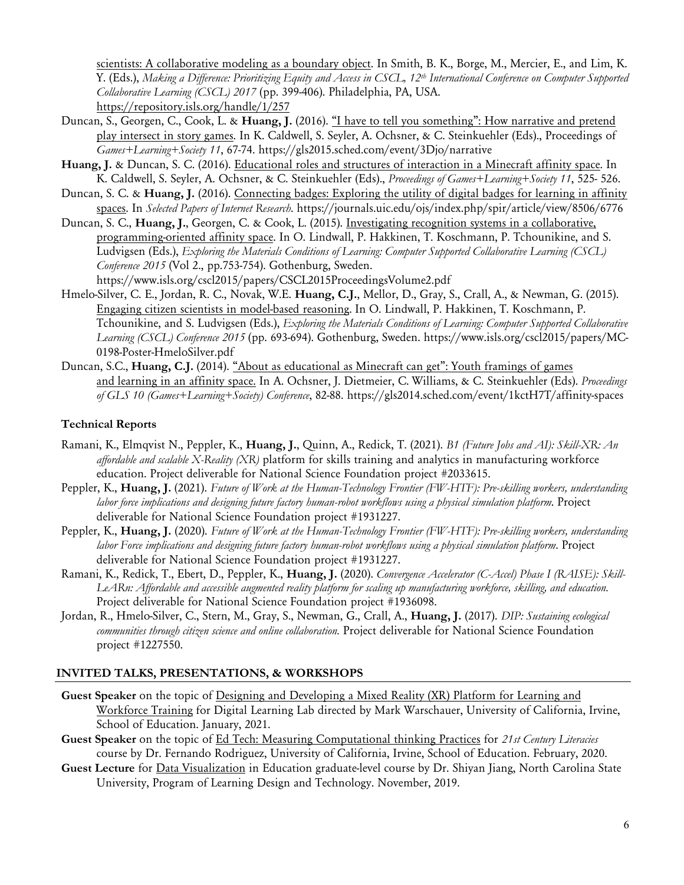scientists: A collaborative modeling as a boundary object. In Smith, B. K., Borge, M., Mercier, E., and Lim, K. Y. (Eds.), *Making a Difference: Prioritizing Equity and Access in CSCL, 12th International Conference on Computer Supported Collaborative Learning (CSCL) 2017* (pp. 399-406). Philadelphia, PA, USA. https://repository.isls.org/handle/1/257

- Duncan, S., Georgen, C., Cook, L. & **Huang, J.** (2016). "I have to tell you something": How narrative and pretend play intersect in story games. In K. Caldwell, S. Seyler, A. Ochsner, & C. Steinkuehler (Eds)., Proceedings of *Games+Learning+Society 11*, 67-74. https://gls2015.sched.com/event/3Djo/narrative
- **Huang, J.** & Duncan, S. C. (2016). Educational roles and structures of interaction in a Minecraft affinity space. In K. Caldwell, S. Seyler, A. Ochsner, & C. Steinkuehler (Eds)., *Proceedings of Games+Learning+Society 11*, 525- 526.
- Duncan, S. C. & **Huang, J.** (2016). Connecting badges: Exploring the utility of digital badges for learning in affinity spaces. In *Selected Papers of Internet Research*. https://journals.uic.edu/ojs/index.php/spir/article/view/8506/6776
- Duncan, S. C., **Huang, J.**, Georgen, C. & Cook, L. (2015). Investigating recognition systems in a collaborative, programming-oriented affinity space. In O. Lindwall, P. Hakkinen, T. Koschmann, P. Tchounikine, and S. Ludvigsen (Eds.), *Exploring the Materials Conditions of Learning: Computer Supported Collaborative Learning (CSCL) Conference 2015* (Vol 2., pp.753-754). Gothenburg, Sweden. https://www.isls.org/cscl2015/papers/CSCL2015ProceedingsVolume2.pdf
- Hmelo-Silver, C. E., Jordan, R. C., Novak, W.E. **Huang, C.J.**, Mellor, D., Gray, S., Crall, A., & Newman, G. (2015). Engaging citizen scientists in model-based reasoning. In O. Lindwall, P. Hakkinen, T. Koschmann, P. Tchounikine, and S. Ludvigsen (Eds.), *Exploring the Materials Conditions of Learning: Computer Supported Collaborative Learning (CSCL) Conference 2015* (pp. 693-694). Gothenburg, Sweden. https://www.isls.org/cscl2015/papers/MC-0198-Poster-HmeloSilver.pdf
- Duncan, S.C., **Huang, C.J.** (2014). "About as educational as Minecraft can get": Youth framings of games and learning in an affinity space. In A. Ochsner, J. Dietmeier, C. Williams, & C. Steinkuehler (Eds). *Proceedings of GLS 10 (Games+Learning+Society) Conference*, 82-88. https://gls2014.sched.com/event/1kctH7T/affinity-spaces

## **Technical Reports**

- Ramani, K., Elmqvist N., Peppler, K., **Huang, J.**, Quinn, A., Redick, T. (2021). *B1 (Future Jobs and AI): Skill-XR: An affordable and scalable X-Reality (XR)* platform for skills training and analytics in manufacturing workforce education. Project deliverable for National Science Foundation project #2033615.
- Peppler, K., **Huang, J.** (2021). *Future of Work at the Human-Technology Frontier (FW-HTF): Pre-skilling workers, understanding labor force implications and designing future factory human-robot workflows using a physical simulation platform*. Project deliverable for National Science Foundation project #1931227.
- Peppler, K., **Huang, J.** (2020). *Future of Work at the Human-Technology Frontier (FW-HTF): Pre-skilling workers, understanding labor Force implications and designing future factory human-robot workflows using a physical simulation platform*. Project deliverable for National Science Foundation project #1931227.
- Ramani, K., Redick, T., Ebert, D., Peppler, K., **Huang, J.** (2020). *Convergence Accelerator (C-Accel) Phase I (RAISE): Skill-LeARn: Affordable and accessible augmented reality platform for scaling up manufacturing workforce, skilling, and education.* Project deliverable for National Science Foundation project #1936098.
- Jordan, R., Hmelo-Silver, C., Stern, M., Gray, S., Newman, G., Crall, A., **Huang, J.** (2017). *DIP: Sustaining ecological communities through citizen science and online collaboration.* Project deliverable for National Science Foundation project #1227550.

## **INVITED TALKS, PRESENTATIONS, & WORKSHOPS**

- **Guest Speaker** on the topic of Designing and Developing a Mixed Reality (XR) Platform for Learning and Workforce Training for Digital Learning Lab directed by Mark Warschauer, University of California, Irvine, School of Education. January, 2021.
- **Guest Speaker** on the topic of Ed Tech: Measuring Computational thinking Practices for *21st Century Literacies*  course by Dr. Fernando Rodriguez, University of California, Irvine, School of Education. February, 2020.
- **Guest Lecture** for Data Visualization in Education graduate-level course by Dr. Shiyan Jiang, North Carolina State University, Program of Learning Design and Technology. November, 2019.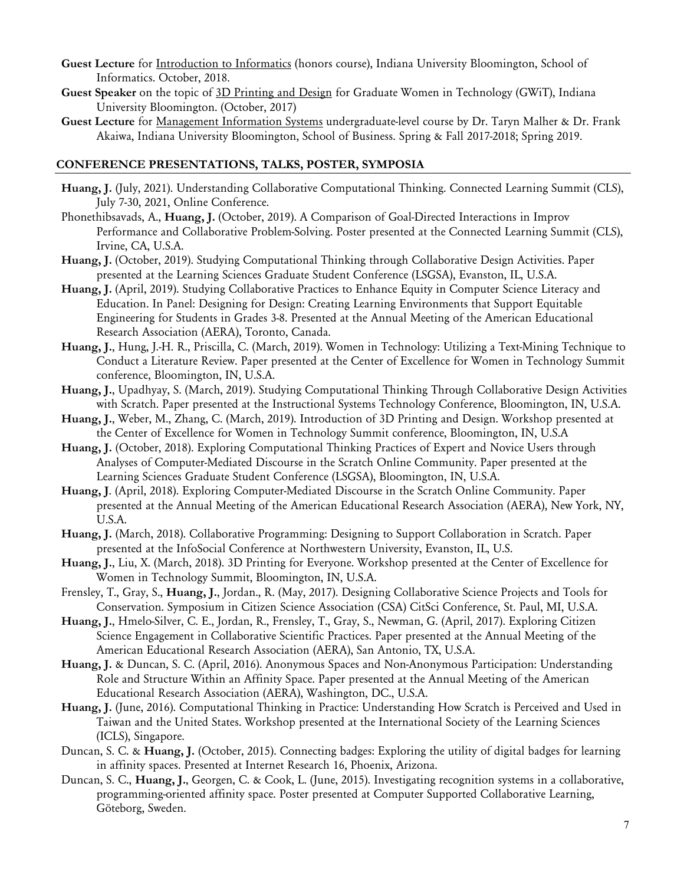- **Guest Lecture** for Introduction to Informatics (honors course), Indiana University Bloomington, School of Informatics. October, 2018.
- **Guest Speaker** on the topic of 3D Printing and Design for Graduate Women in Technology (GWiT), Indiana University Bloomington. (October, 2017)
- **Guest Lecture** for Management Information Systems undergraduate-level course by Dr. Taryn Malher & Dr. Frank Akaiwa, Indiana University Bloomington, School of Business. Spring & Fall 2017-2018; Spring 2019.

## **CONFERENCE PRESENTATIONS, TALKS, POSTER, SYMPOSIA**

- **Huang, J.** (July, 2021). Understanding Collaborative Computational Thinking. Connected Learning Summit (CLS), July 7-30, 2021, Online Conference.
- Phonethibsavads, A., **Huang, J.** (October, 2019). A Comparison of Goal-Directed Interactions in Improv Performance and Collaborative Problem-Solving. Poster presented at the Connected Learning Summit (CLS), Irvine, CA, U.S.A.
- **Huang, J.** (October, 2019). Studying Computational Thinking through Collaborative Design Activities. Paper presented at the Learning Sciences Graduate Student Conference (LSGSA), Evanston, IL, U.S.A.
- **Huang, J.** (April, 2019). Studying Collaborative Practices to Enhance Equity in Computer Science Literacy and Education. In Panel: Designing for Design: Creating Learning Environments that Support Equitable Engineering for Students in Grades 3-8. Presented at the Annual Meeting of the American Educational Research Association (AERA), Toronto, Canada.
- **Huang, J.**, Hung, J.-H. R., Priscilla, C. (March, 2019). Women in Technology: Utilizing a Text-Mining Technique to Conduct a Literature Review. Paper presented at the Center of Excellence for Women in Technology Summit conference, Bloomington, IN, U.S.A.
- **Huang, J.**, Upadhyay, S. (March, 2019). Studying Computational Thinking Through Collaborative Design Activities with Scratch. Paper presented at the Instructional Systems Technology Conference, Bloomington, IN, U.S.A.
- **Huang, J.**, Weber, M., Zhang, C. (March, 2019). Introduction of 3D Printing and Design. Workshop presented at the Center of Excellence for Women in Technology Summit conference, Bloomington, IN, U.S.A
- **Huang, J.** (October, 2018). Exploring Computational Thinking Practices of Expert and Novice Users through Analyses of Computer-Mediated Discourse in the Scratch Online Community. Paper presented at the Learning Sciences Graduate Student Conference (LSGSA), Bloomington, IN, U.S.A.
- **Huang, J**. (April, 2018). Exploring Computer-Mediated Discourse in the Scratch Online Community. Paper presented at the Annual Meeting of the American Educational Research Association (AERA), New York, NY, U.S.A.
- **Huang, J.** (March, 2018). Collaborative Programming: Designing to Support Collaboration in Scratch. Paper presented at the InfoSocial Conference at Northwestern University, Evanston, IL, U.S.
- **Huang, J.**, Liu, X. (March, 2018). 3D Printing for Everyone. Workshop presented at the Center of Excellence for Women in Technology Summit, Bloomington, IN, U.S.A.
- Frensley, T., Gray, S., **Huang, J.**, Jordan., R. (May, 2017). Designing Collaborative Science Projects and Tools for Conservation. Symposium in Citizen Science Association (CSA) CitSci Conference, St. Paul, MI, U.S.A.
- **Huang, J.**, Hmelo-Silver, C. E., Jordan, R., Frensley, T., Gray, S., Newman, G. (April, 2017). Exploring Citizen Science Engagement in Collaborative Scientific Practices. Paper presented at the Annual Meeting of the American Educational Research Association (AERA), San Antonio, TX, U.S.A.
- **Huang, J.** & Duncan, S. C. (April, 2016). Anonymous Spaces and Non-Anonymous Participation: Understanding Role and Structure Within an Affinity Space. Paper presented at the Annual Meeting of the American Educational Research Association (AERA), Washington, DC., U.S.A.
- **Huang, J.** (June, 2016). Computational Thinking in Practice: Understanding How Scratch is Perceived and Used in Taiwan and the United States. Workshop presented at the International Society of the Learning Sciences (ICLS), Singapore.
- Duncan, S. C. & **Huang, J.** (October, 2015). Connecting badges: Exploring the utility of digital badges for learning in affinity spaces. Presented at Internet Research 16, Phoenix, Arizona.
- Duncan, S. C., **Huang, J.**, Georgen, C. & Cook, L. (June, 2015). Investigating recognition systems in a collaborative, programming-oriented affinity space. Poster presented at Computer Supported Collaborative Learning, Göteborg, Sweden.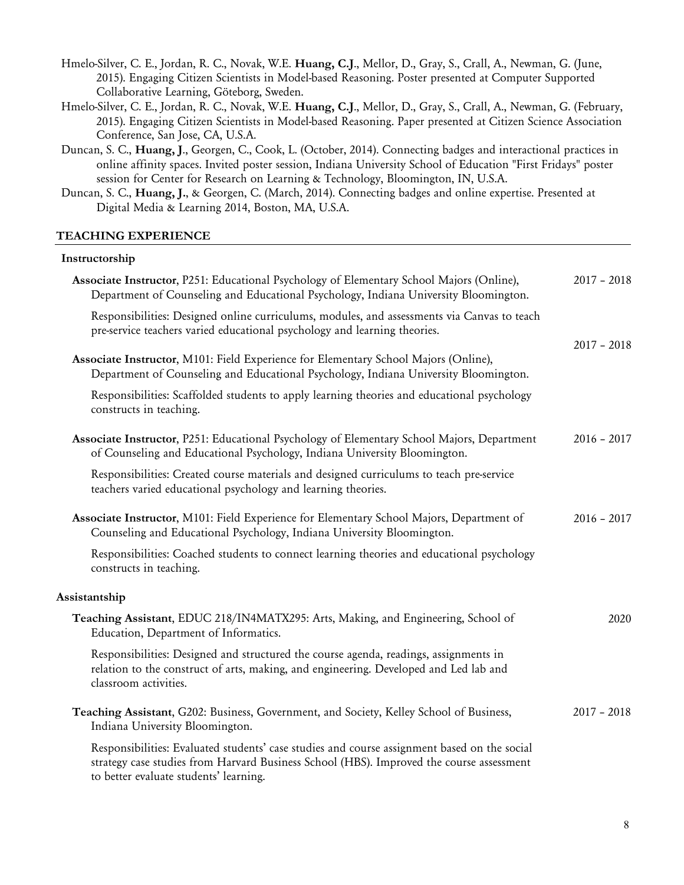| Hmelo-Silver, C. E., Jordan, R. C., Novak, W.E. Huang, C.J., Mellor, D., Gray, S., Crall, A., Newman, G. (June, |
|-----------------------------------------------------------------------------------------------------------------|
| 2015). Engaging Citizen Scientists in Model-based Reasoning. Poster presented at Computer Supported             |
| Collaborative Learning, Göteborg, Sweden.                                                                       |

- Hmelo-Silver, C. E., Jordan, R. C., Novak, W.E. **Huang, C.J**., Mellor, D., Gray, S., Crall, A., Newman, G. (February, 2015). Engaging Citizen Scientists in Model-based Reasoning. Paper presented at Citizen Science Association Conference, San Jose, CA, U.S.A.
- Duncan, S. C., **Huang, J**., Georgen, C., Cook, L. (October, 2014). Connecting badges and interactional practices in online affinity spaces. Invited poster session, Indiana University School of Education "First Fridays" poster session for Center for Research on Learning & Technology, Bloomington, IN, U.S.A.
- Duncan, S. C., **Huang, J.**, & Georgen, C. (March, 2014). Connecting badges and online expertise. Presented at Digital Media & Learning 2014, Boston, MA, U.S.A.

#### **TEACHING EXPERIENCE**

## **Instructorship**

| Associate Instructor, P251: Educational Psychology of Elementary School Majors (Online),<br>Department of Counseling and Educational Psychology, Indiana University Bloomington.                                                   | $2017 - 2018$ |
|------------------------------------------------------------------------------------------------------------------------------------------------------------------------------------------------------------------------------------|---------------|
| Responsibilities: Designed online curriculums, modules, and assessments via Canvas to teach<br>pre-service teachers varied educational psychology and learning theories.                                                           |               |
| Associate Instructor, M101: Field Experience for Elementary School Majors (Online),<br>Department of Counseling and Educational Psychology, Indiana University Bloomington.                                                        | $2017 - 2018$ |
| Responsibilities: Scaffolded students to apply learning theories and educational psychology<br>constructs in teaching.                                                                                                             |               |
| Associate Instructor, P251: Educational Psychology of Elementary School Majors, Department<br>of Counseling and Educational Psychology, Indiana University Bloomington.                                                            | $2016 - 2017$ |
| Responsibilities: Created course materials and designed curriculums to teach pre-service<br>teachers varied educational psychology and learning theories.                                                                          |               |
| Associate Instructor, M101: Field Experience for Elementary School Majors, Department of<br>Counseling and Educational Psychology, Indiana University Bloomington.                                                                 | $2016 - 2017$ |
| Responsibilities: Coached students to connect learning theories and educational psychology<br>constructs in teaching.                                                                                                              |               |
| Assistantship                                                                                                                                                                                                                      |               |
| Teaching Assistant, EDUC 218/IN4MATX295: Arts, Making, and Engineering, School of<br>Education, Department of Informatics.                                                                                                         | 2020          |
| Responsibilities: Designed and structured the course agenda, readings, assignments in<br>relation to the construct of arts, making, and engineering. Developed and Led lab and<br>classroom activities.                            |               |
| Teaching Assistant, G202: Business, Government, and Society, Kelley School of Business,<br>Indiana University Bloomington.                                                                                                         | $2017 - 2018$ |
| Responsibilities: Evaluated students' case studies and course assignment based on the social<br>strategy case studies from Harvard Business School (HBS). Improved the course assessment<br>to better evaluate students' learning. |               |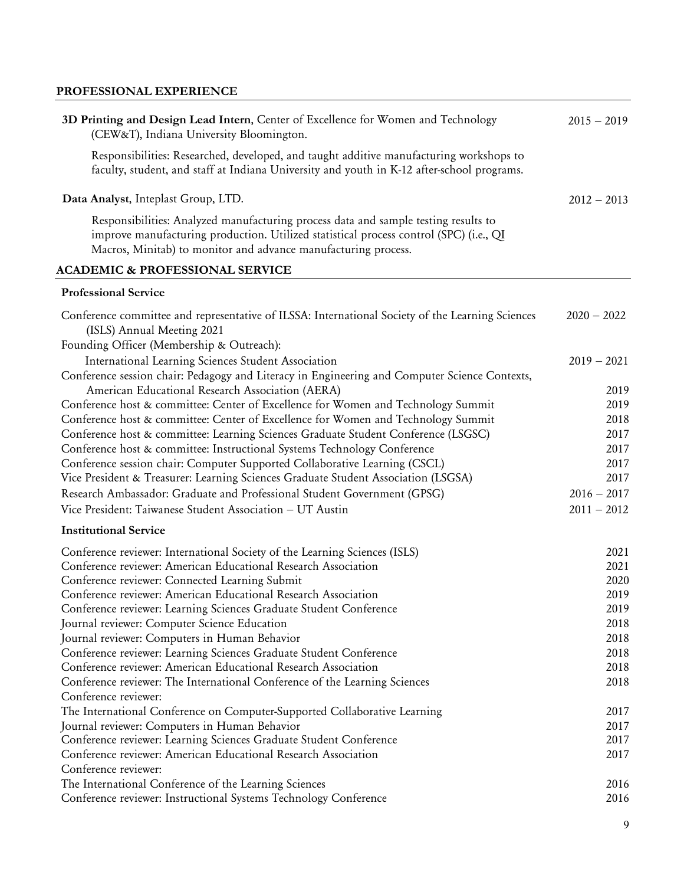# **PROFESSIONAL EXPERIENCE**

| 3D Printing and Design Lead Intern, Center of Excellence for Women and Technology<br>(CEW&T), Indiana University Bloomington.                                                                                                                   | $2015 - 2019$ |
|-------------------------------------------------------------------------------------------------------------------------------------------------------------------------------------------------------------------------------------------------|---------------|
| Responsibilities: Researched, developed, and taught additive manufacturing workshops to<br>faculty, student, and staff at Indiana University and youth in K-12 after-school programs.                                                           |               |
| Data Analyst, Inteplast Group, LTD.                                                                                                                                                                                                             | $2012 - 2013$ |
| Responsibilities: Analyzed manufacturing process data and sample testing results to<br>improve manufacturing production. Utilized statistical process control (SPC) (i.e., QI<br>Macros, Minitab) to monitor and advance manufacturing process. |               |
| <b>ACADEMIC &amp; PROFESSIONAL SERVICE</b>                                                                                                                                                                                                      |               |
| <b>Professional Service</b>                                                                                                                                                                                                                     |               |
| Conference committee and representative of ILSSA: International Society of the Learning Sciences<br>(ISLS) Annual Meeting 2021<br>Founding Officer (Membership & Outreach):                                                                     | $2020 - 2022$ |
| International Learning Sciences Student Association                                                                                                                                                                                             | $2019 - 2021$ |
| Conference session chair: Pedagogy and Literacy in Engineering and Computer Science Contexts,                                                                                                                                                   |               |
| American Educational Research Association (AERA)                                                                                                                                                                                                | 2019          |
| Conference host & committee: Center of Excellence for Women and Technology Summit                                                                                                                                                               | 2019          |
| Conference host & committee: Center of Excellence for Women and Technology Summit                                                                                                                                                               | 2018          |
| Conference host & committee: Learning Sciences Graduate Student Conference (LSGSC)                                                                                                                                                              | 2017          |
| Conference host & committee: Instructional Systems Technology Conference                                                                                                                                                                        | 2017          |
| Conference session chair: Computer Supported Collaborative Learning (CSCL)                                                                                                                                                                      | 2017          |
| Vice President & Treasurer: Learning Sciences Graduate Student Association (LSGSA)                                                                                                                                                              | 2017          |
| Research Ambassador: Graduate and Professional Student Government (GPSG)                                                                                                                                                                        | $2016 - 2017$ |
| Vice President: Taiwanese Student Association - UT Austin                                                                                                                                                                                       | $2011 - 2012$ |
| <b>Institutional Service</b>                                                                                                                                                                                                                    |               |
| Conference reviewer: International Society of the Learning Sciences (ISLS)                                                                                                                                                                      | 2021          |
| Conference reviewer: American Educational Research Association                                                                                                                                                                                  | 2021          |
| Conference reviewer: Connected Learning Submit                                                                                                                                                                                                  | 2020          |
| Conference reviewer: American Educational Research Association                                                                                                                                                                                  | 2019          |
| Conference reviewer: Learning Sciences Graduate Student Conference                                                                                                                                                                              | 2019          |
| Journal reviewer: Computer Science Education                                                                                                                                                                                                    | 2018          |
| Journal reviewer: Computers in Human Behavior                                                                                                                                                                                                   | 2018          |
| Conference reviewer: Learning Sciences Graduate Student Conference                                                                                                                                                                              | 2018          |
| Conference reviewer: American Educational Research Association                                                                                                                                                                                  | 2018          |
| Conference reviewer: The International Conference of the Learning Sciences                                                                                                                                                                      | 2018          |
| Conference reviewer:                                                                                                                                                                                                                            |               |
| The International Conference on Computer-Supported Collaborative Learning                                                                                                                                                                       | 2017          |
| Journal reviewer: Computers in Human Behavior                                                                                                                                                                                                   | 2017          |
| Conference reviewer: Learning Sciences Graduate Student Conference                                                                                                                                                                              | 2017          |
| Conference reviewer: American Educational Research Association                                                                                                                                                                                  | 2017          |
| Conference reviewer:                                                                                                                                                                                                                            |               |
| The International Conference of the Learning Sciences                                                                                                                                                                                           | 2016          |
| Conference reviewer: Instructional Systems Technology Conference                                                                                                                                                                                | 2016          |